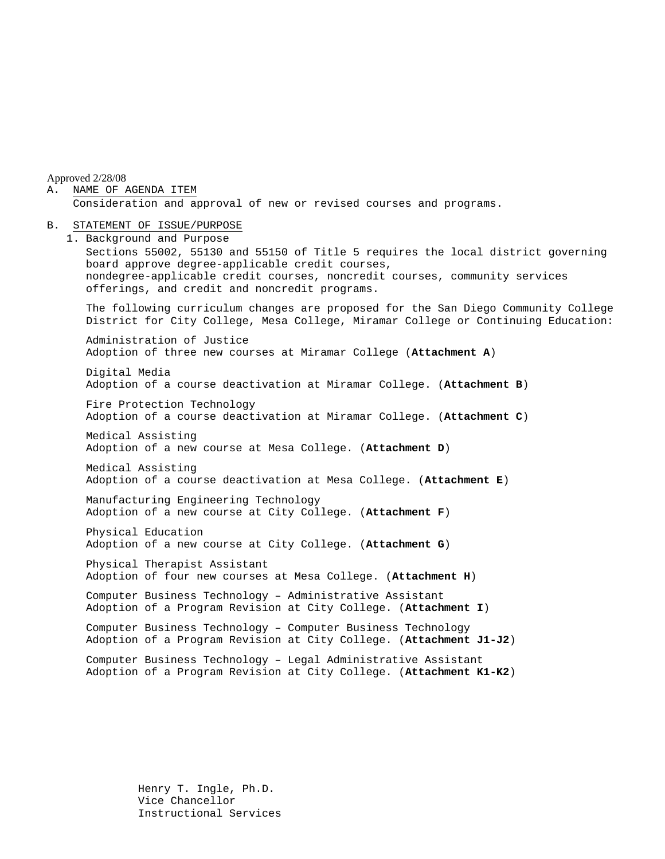Approved 2/28/08

A. NAME OF AGENDA ITEM Consideration and approval of new or revised courses and programs.

#### B. STATEMENT OF ISSUE/PURPOSE

1. Background and Purpose Sections 55002, 55130 and 55150 of Title 5 requires the local district governing board approve degree-applicable credit courses, nondegree-applicable credit courses, noncredit courses, community services offerings, and credit and noncredit programs. The following curriculum changes are proposed for the San Diego Community College District for City College, Mesa College, Miramar College or Continuing Education: Administration of Justice Adoption of three new courses at Miramar College (**Attachment A**) Digital Media Adoption of a course deactivation at Miramar College. (**Attachment B**) Fire Protection Technology Adoption of a course deactivation at Miramar College. (**Attachment C**) Medical Assisting Adoption of a new course at Mesa College. (**Attachment D**) Medical Assisting Adoption of a course deactivation at Mesa College. (**Attachment E**) Manufacturing Engineering Technology Adoption of a new course at City College. (**Attachment F**) Physical Education Adoption of a new course at City College. (**Attachment G**) Physical Therapist Assistant Adoption of four new courses at Mesa College. (**Attachment H**) Computer Business Technology – Administrative Assistant Adoption of a Program Revision at City College. (**Attachment I**) Computer Business Technology – Computer Business Technology Adoption of a Program Revision at City College. (**Attachment J1-J2**) Computer Business Technology – Legal Administrative Assistant Adoption of a Program Revision at City College. (**Attachment K1-K2**)

> Henry T. Ingle, Ph.D. Vice Chancellor Instructional Services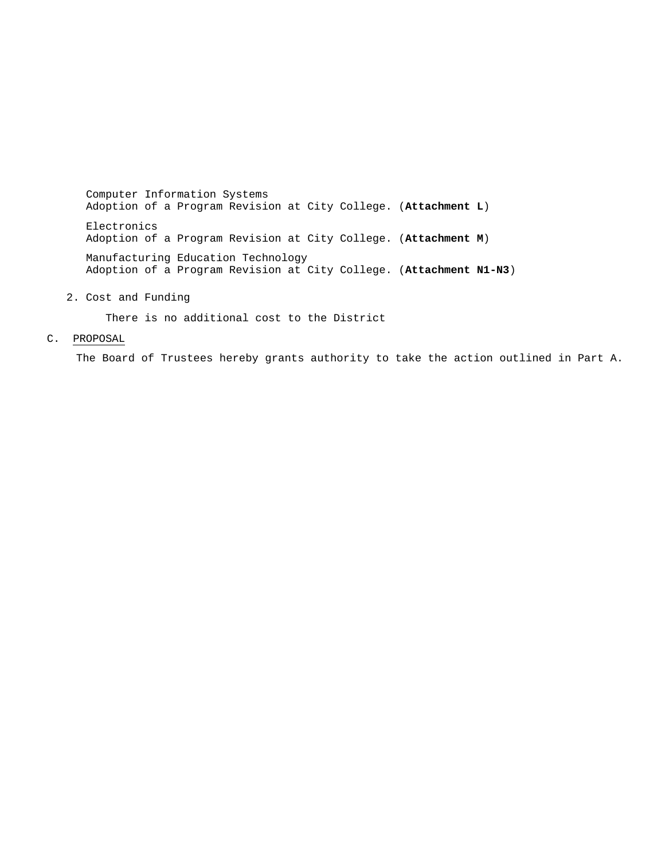Computer Information Systems Adoption of a Program Revision at City College. (**Attachment L**) Electronics Adoption of a Program Revision at City College. (**Attachment M**) Manufacturing Education Technology Adoption of a Program Revision at City College. (**Attachment N1-N3**)

2. Cost and Funding

There is no additional cost to the District

C. PROPOSAL

The Board of Trustees hereby grants authority to take the action outlined in Part A.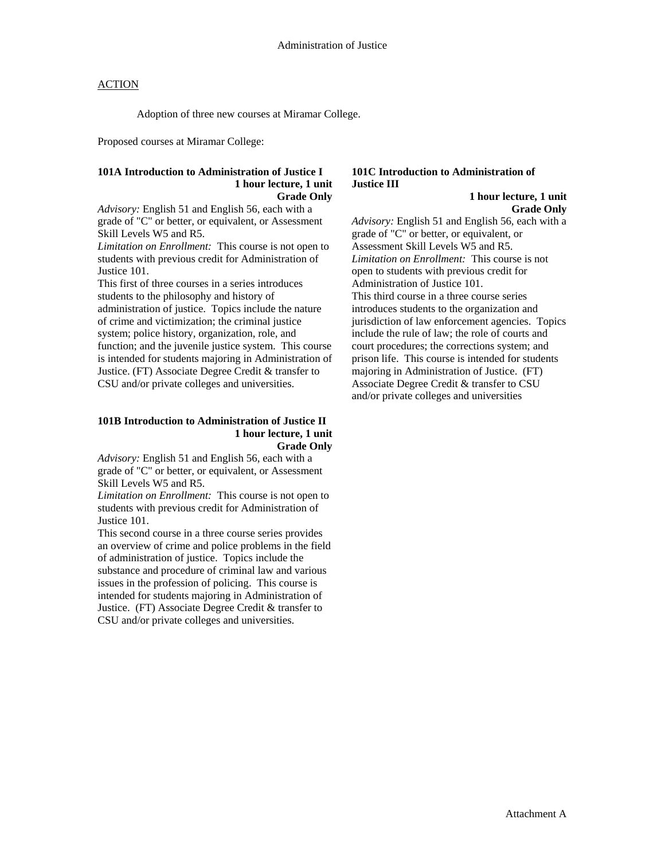Adoption of three new courses at Miramar College.

Proposed courses at Miramar College:

#### **101A Introduction to Administration of Justice I 1 hour lecture, 1 unit Grade Only**

*Advisory:* English 51 and English 56, each with a grade of "C" or better, or equivalent, or Assessment Skill Levels W5 and R5.

*Limitation on Enrollment:* This course is not open to students with previous credit for Administration of Justice 101.

This first of three courses in a series introduces students to the philosophy and history of administration of justice. Topics include the nature of crime and victimization; the criminal justice system; police history, organization, role, and function; and the juvenile justice system. This course is intended for students majoring in Administration of Justice. (FT) Associate Degree Credit & transfer to CSU and/or private colleges and universities.

#### **101B Introduction to Administration of Justice II 1 hour lecture, 1 unit Grade Only**

*Advisory:* English 51 and English 56, each with a grade of "C" or better, or equivalent, or Assessment Skill Levels W5 and R5.

*Limitation on Enrollment:* This course is not open to students with previous credit for Administration of Justice 101.

This second course in a three course series provides an overview of crime and police problems in the field of administration of justice. Topics include the substance and procedure of criminal law and various issues in the profession of policing. This course is intended for students majoring in Administration of Justice. (FT) Associate Degree Credit & transfer to CSU and/or private colleges and universities.

## **101C Introduction to Administration of Justice III**

 **1 hour lecture, 1 unit Grade Only**

*Advisory:* English 51 and English 56, each with a grade of "C" or better, or equivalent, or Assessment Skill Levels W5 and R5. *Limitation on Enrollment:* This course is not open to students with previous credit for Administration of Justice 101. This third course in a three course series introduces students to the organization and jurisdiction of law enforcement agencies. Topics include the rule of law; the role of courts and court procedures; the corrections system; and prison life. This course is intended for students majoring in Administration of Justice. (FT) Associate Degree Credit & transfer to CSU and/or private colleges and universities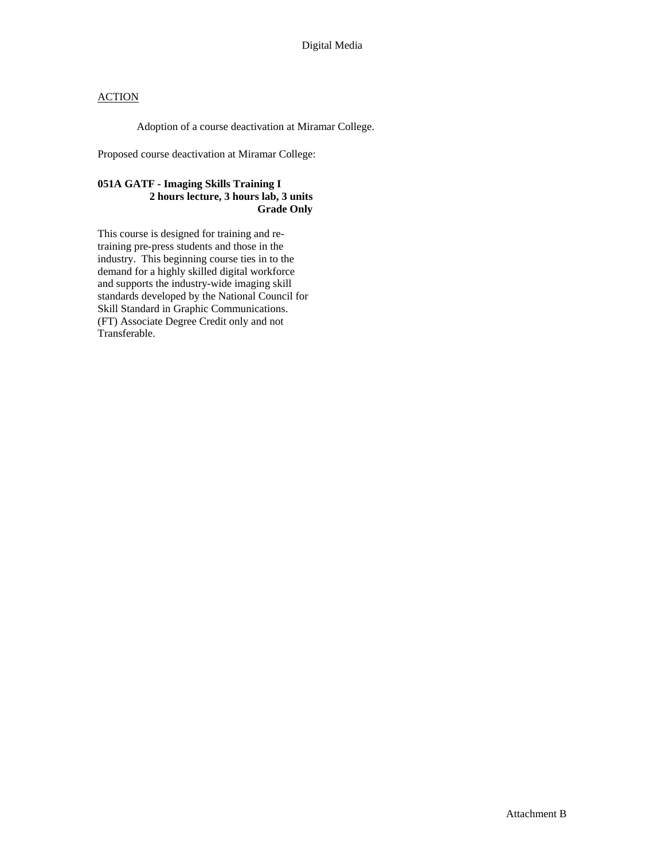Adoption of a course deactivation at Miramar College.

Proposed course deactivation at Miramar College:

### **051A GATF - Imaging Skills Training I 2 hours lecture, 3 hours lab, 3 units Grade Only**

This course is designed for training and retraining pre-press students and those in the industry. This beginning course ties in to the demand for a highly skilled digital workforce and supports the industry-wide imaging skill standards developed by the National Council for Skill Standard in Graphic Communications. (FT) Associate Degree Credit only and not Transferable.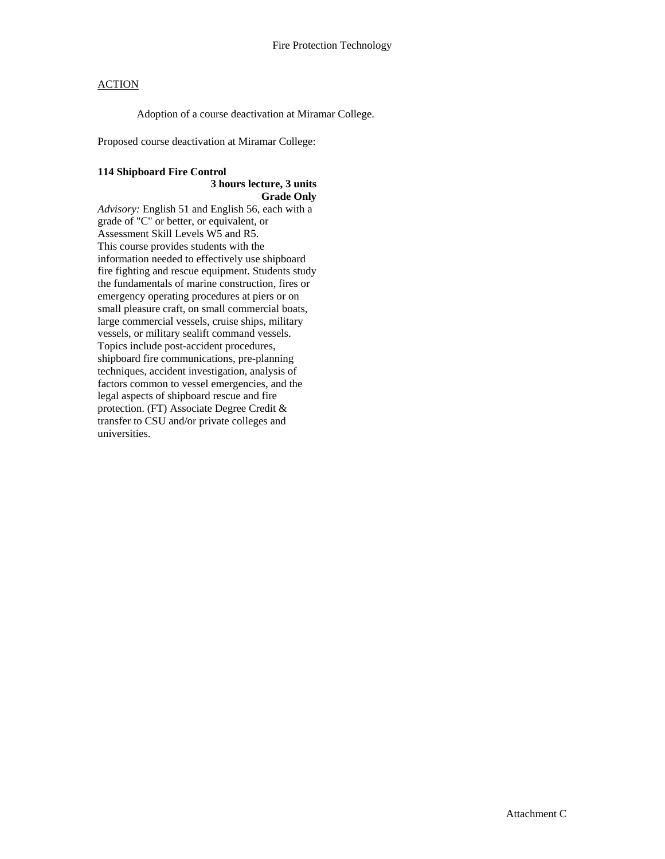Adoption of a course deactivation at Miramar College.

Proposed course deactivation at Miramar College:

## **114 Shipboard Fire Control**

#### **3 hours lecture, 3 units Grade Only**

*Advisory:* English 51 and English 56, each with a grade of "C" or better, or equivalent, or Assessment Skill Levels W5 and R5. This course provides students with the information needed to effectively use shipboard fire fighting and rescue equipment. Students study the fundamentals of marine construction, fires or emergency operating procedures at piers or on small pleasure craft, on small commercial boats, large commercial vessels, cruise ships, military vessels, or military sealift command vessels. Topics include post-accident procedures, shipboard fire communications, pre-planning techniques, accident investigation, analysis of factors common to vessel emergencies, and the legal aspects of shipboard rescue and fire protection. (FT) Associate Degree Credit & transfer to CSU and/or private colleges and universities.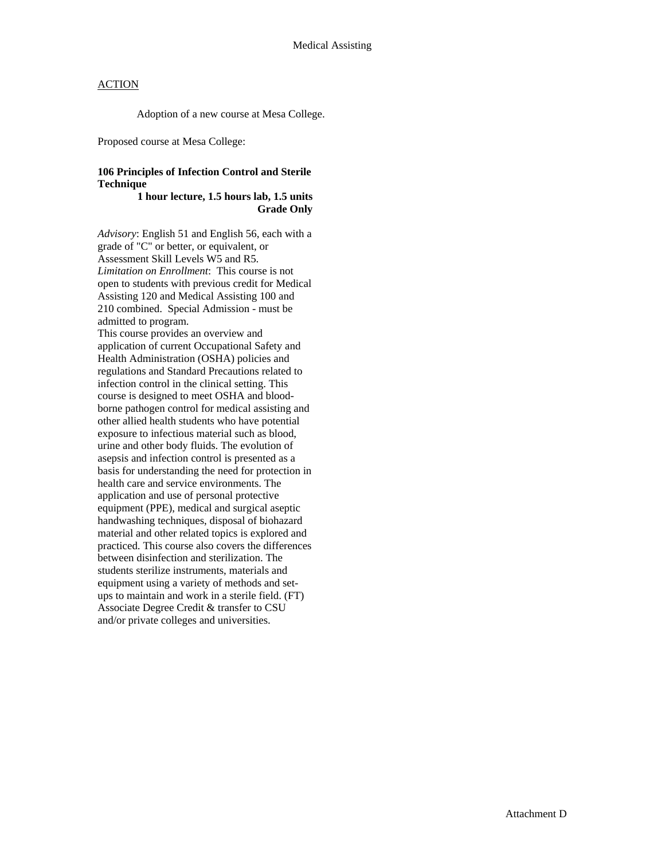Adoption of a new course at Mesa College.

Proposed course at Mesa College:

## **106 Principles of Infection Control and Sterile Technique**

#### **1 hour lecture, 1.5 hours lab, 1.5 units Grade Only**

*Advisory*: English 51 and English 56, each with a grade of "C" or better, or equivalent, or Assessment Skill Levels W5 and R5. *Limitation on Enrollment*: This course is not open to students with previous credit for Medical Assisting 120 and Medical Assisting 100 and 210 combined. Special Admission - must be admitted to program. This course provides an overview and application of current Occupational Safety and

Health Administration (OSHA) policies and regulations and Standard Precautions related to infection control in the clinical setting. This course is designed to meet OSHA and bloodborne pathogen control for medical assisting and other allied health students who have potential exposure to infectious material such as blood, urine and other body fluids. The evolution of asepsis and infection control is presented as a basis for understanding the need for protection in health care and service environments. The application and use of personal protective equipment (PPE), medical and surgical aseptic handwashing techniques, disposal of biohazard material and other related topics is explored and practiced. This course also covers the differences between disinfection and sterilization. The students sterilize instruments, materials and equipment using a variety of methods and setups to maintain and work in a sterile field. (FT) Associate Degree Credit & transfer to CSU and/or private colleges and universities.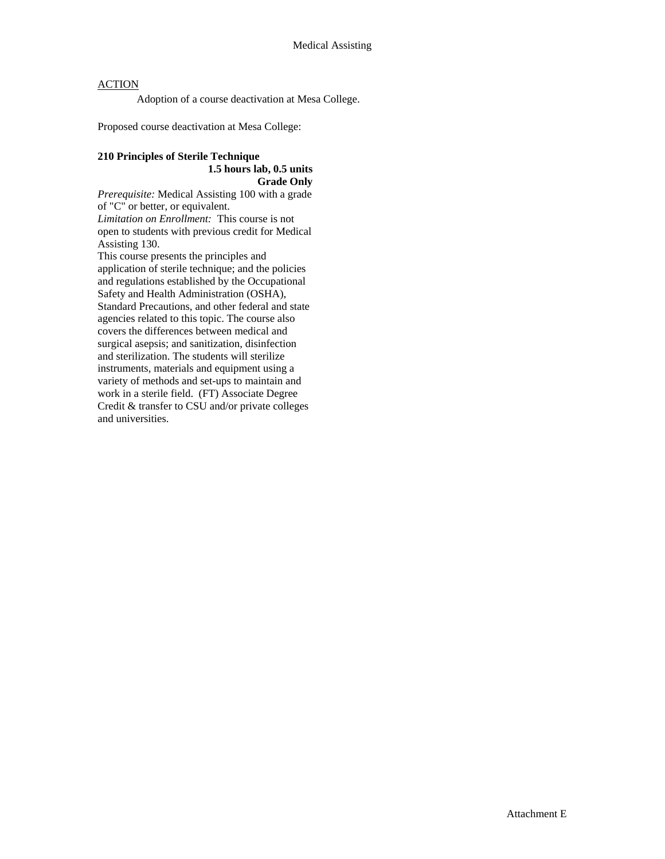Adoption of a course deactivation at Mesa College.

Proposed course deactivation at Mesa College:

## **210 Principles of Sterile Technique 1.5 hours lab, 0.5 units Grade Only**

*Prerequisite:* Medical Assisting 100 with a grade of "C" or better, or equivalent. *Limitation on Enrollment:* This course is not open to students with previous credit for Medical Assisting 130.

This course presents the principles and application of sterile technique; and the policies and regulations established by the Occupational Safety and Health Administration (OSHA), Standard Precautions, and other federal and state agencies related to this topic. The course also covers the differences between medical and surgical asepsis; and sanitization, disinfection and sterilization. The students will sterilize instruments, materials and equipment using a variety of methods and set-ups to maintain and work in a sterile field. (FT) Associate Degree Credit & transfer to CSU and/or private colleges and universities.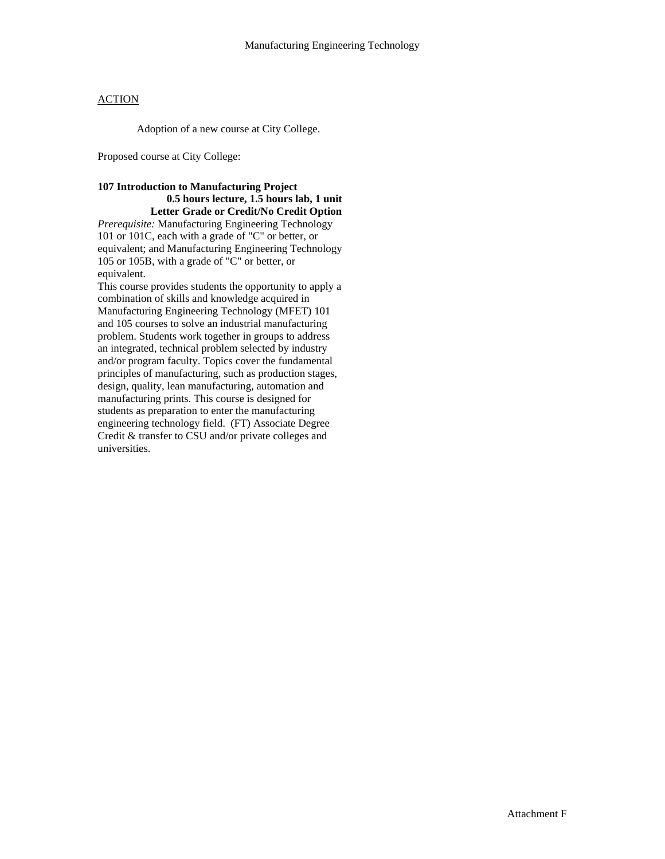Adoption of a new course at City College.

Proposed course at City College:

#### **107 Introduction to Manufacturing Project 0.5 hours lecture, 1.5 hours lab, 1 unit Letter Grade or Credit/No Credit Option**

*Prerequisite:* Manufacturing Engineering Technology 101 or 101C, each with a grade of "C" or better, or equivalent; and Manufacturing Engineering Technology 105 or 105B, with a grade of "C" or better, or equivalent.

This course provides students the opportunity to apply a combination of skills and knowledge acquired in Manufacturing Engineering Technology (MFET) 101 and 105 courses to solve an industrial manufacturing problem. Students work together in groups to address an integrated, technical problem selected by industry and/or program faculty. Topics cover the fundamental principles of manufacturing, such as production stages, design, quality, lean manufacturing, automation and manufacturing prints. This course is designed for students as preparation to enter the manufacturing engineering technology field. (FT) Associate Degree Credit & transfer to CSU and/or private colleges and universities.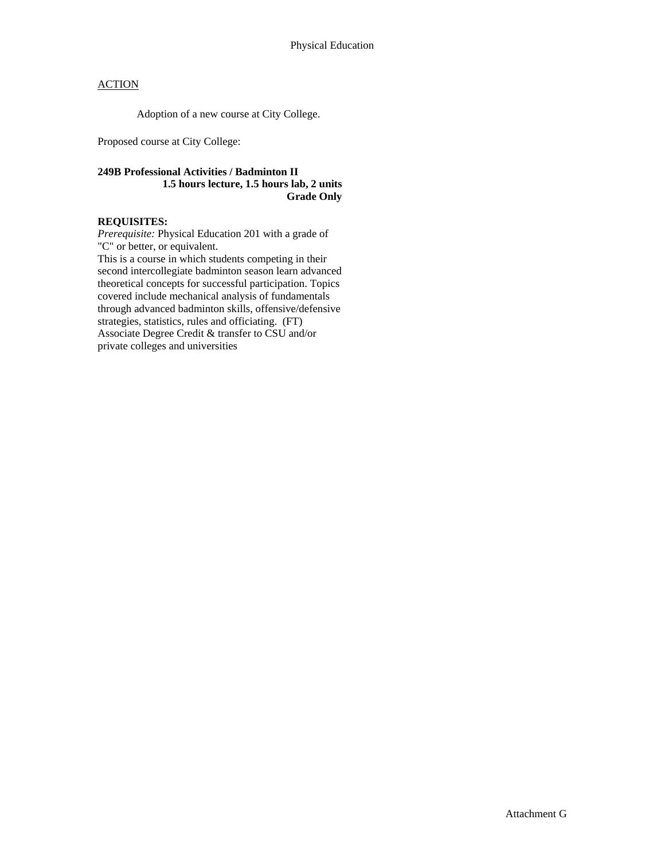Adoption of a new course at City College.

Proposed course at City College:

## **249B Professional Activities / Badminton II 1.5 hours lecture, 1.5 hours lab, 2 units Grade Only**

## **REQUISITES:**

*Prerequisite:* Physical Education 201 with a grade of "C" or better, or equivalent.

This is a course in which students competing in their second intercollegiate badminton season learn advanced theoretical concepts for successful participation. Topics covered include mechanical analysis of fundamentals through advanced badminton skills, offensive/defensive strategies, statistics, rules and officiating. (FT) Associate Degree Credit & transfer to CSU and/or private colleges and universities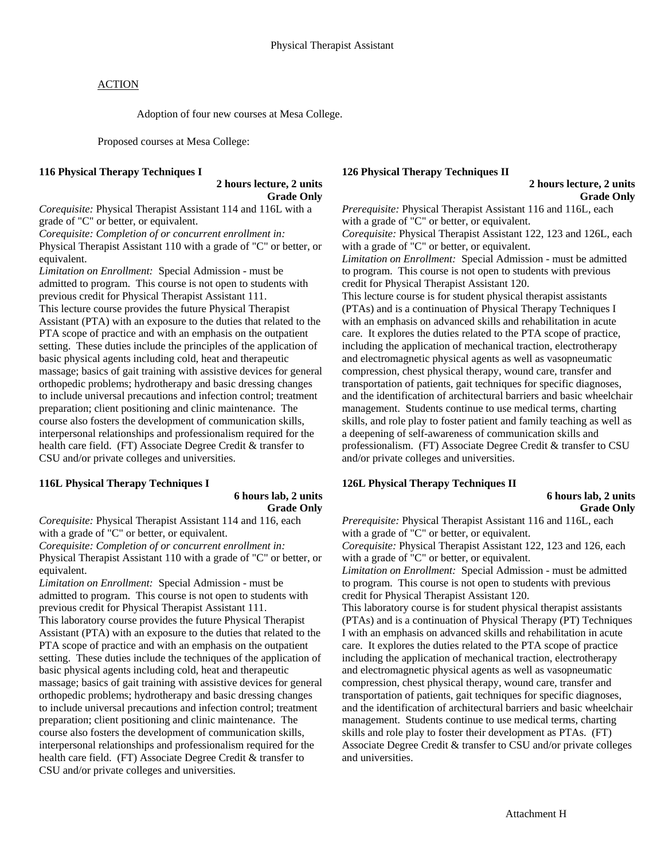Adoption of four new courses at Mesa College.

Proposed courses at Mesa College:

#### **116 Physical Therapy Techniques I**

 **2 hours lecture, 2 units Grade Only** 

*Corequisite:* Physical Therapist Assistant 114 and 116L with a grade of "C" or better, or equivalent.

*Corequisite: Completion of or concurrent enrollment in:*  Physical Therapist Assistant 110 with a grade of "C" or better, or equivalent.

*Limitation on Enrollment:* Special Admission - must be admitted to program. This course is not open to students with previous credit for Physical Therapist Assistant 111. This lecture course provides the future Physical Therapist Assistant (PTA) with an exposure to the duties that related to the PTA scope of practice and with an emphasis on the outpatient setting. These duties include the principles of the application of basic physical agents including cold, heat and therapeutic massage; basics of gait training with assistive devices for general orthopedic problems; hydrotherapy and basic dressing changes to include universal precautions and infection control; treatment preparation; client positioning and clinic maintenance. The course also fosters the development of communication skills, interpersonal relationships and professionalism required for the health care field. (FT) Associate Degree Credit & transfer to CSU and/or private colleges and universities.

## **116L Physical Therapy Techniques I**

### **6 hours lab, 2 units Grade Only**

*Corequisite:* Physical Therapist Assistant 114 and 116, each with a grade of "C" or better, or equivalent. *Corequisite: Completion of or concurrent enrollment in:* 

Physical Therapist Assistant 110 with a grade of "C" or better, or equivalent.

*Limitation on Enrollment:* Special Admission - must be admitted to program. This course is not open to students with previous credit for Physical Therapist Assistant 111. This laboratory course provides the future Physical Therapist Assistant (PTA) with an exposure to the duties that related to the PTA scope of practice and with an emphasis on the outpatient setting. These duties include the techniques of the application of basic physical agents including cold, heat and therapeutic massage; basics of gait training with assistive devices for general orthopedic problems; hydrotherapy and basic dressing changes to include universal precautions and infection control; treatment preparation; client positioning and clinic maintenance. The course also fosters the development of communication skills, interpersonal relationships and professionalism required for the health care field. (FT) Associate Degree Credit & transfer to CSU and/or private colleges and universities.

## **126 Physical Therapy Techniques II**

#### **2 hours lecture, 2 units Grade Only**

*Prerequisite:* Physical Therapist Assistant 116 and 116L, each with a grade of "C" or better, or equivalent. *Corequisite:* Physical Therapist Assistant 122, 123 and 126L, each with a grade of "C" or better, or equivalent. *Limitation on Enrollment:* Special Admission - must be admitted to program. This course is not open to students with previous credit for Physical Therapist Assistant 120. This lecture course is for student physical therapist assistants (PTAs) and is a continuation of Physical Therapy Techniques I with an emphasis on advanced skills and rehabilitation in acute care. It explores the duties related to the PTA scope of practice, including the application of mechanical traction, electrotherapy and electromagnetic physical agents as well as vasopneumatic compression, chest physical therapy, wound care, transfer and transportation of patients, gait techniques for specific diagnoses, and the identification of architectural barriers and basic wheelchair management. Students continue to use medical terms, charting skills, and role play to foster patient and family teaching as well as a deepening of self-awareness of communication skills and professionalism. (FT) Associate Degree Credit & transfer to CSU and/or private colleges and universities.

## **126L Physical Therapy Techniques II**

## **6 hours lab, 2 units Grade Only**

*Prerequisite:* Physical Therapist Assistant 116 and 116L, each with a grade of "C" or better, or equivalent. *Corequisite:* Physical Therapist Assistant 122, 123 and 126, each

with a grade of "C" or better, or equivalent. *Limitation on Enrollment:* Special Admission - must be admitted to program. This course is not open to students with previous

credit for Physical Therapist Assistant 120.

This laboratory course is for student physical therapist assistants (PTAs) and is a continuation of Physical Therapy (PT) Techniques I with an emphasis on advanced skills and rehabilitation in acute care. It explores the duties related to the PTA scope of practice including the application of mechanical traction, electrotherapy and electromagnetic physical agents as well as vasopneumatic compression, chest physical therapy, wound care, transfer and transportation of patients, gait techniques for specific diagnoses, and the identification of architectural barriers and basic wheelchair management. Students continue to use medical terms, charting skills and role play to foster their development as PTAs. (FT) Associate Degree Credit & transfer to CSU and/or private colleges and universities.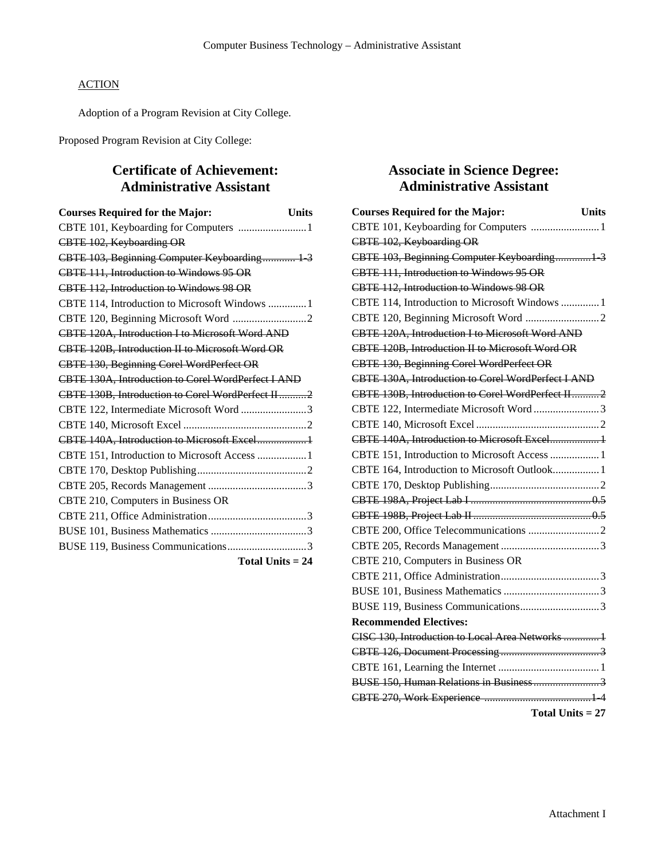Adoption of a Program Revision at City College.

Proposed Program Revision at City College:

# **Certificate of Achievement: Administrative Assistant**

| <b>Courses Required for the Major:</b><br><b>Units</b> |
|--------------------------------------------------------|
| CBTE 101, Keyboarding for Computers 1                  |
| CBTE 102, Keyboarding OR                               |
| CBTE 103, Beginning Computer Keyboarding 1-3           |
| CBTE 111, Introduction to Windows 95 OR                |
| CBTE 112, Introduction to Windows 98 OR                |
| CBTE 114, Introduction to Microsoft Windows  1         |
|                                                        |
| CBTE 120A, Introduction I to Microsoft Word AND        |
| CBTE 120B, Introduction II to Microsoft Word OR        |
| CBTE 130, Beginning Corel WordPerfect OR               |
| CBTE 130A, Introduction to Corel WordPerfect I AND     |
| CBTE 130B, Introduction to Corel WordPerfect II2       |
| CBTE 122, Intermediate Microsoft Word 3                |
|                                                        |
| CBTE 140A, Introduction to Microsoft Excel 1           |
| CBTE 151, Introduction to Microsoft Access  1          |
|                                                        |
|                                                        |
| CBTE 210, Computers in Business OR                     |
|                                                        |
|                                                        |
|                                                        |
| Total Units $= 24$                                     |

# **Associate in Science Degree: Administrative Assistant**

| <b>Courses Required for the Major:</b><br><b>Units</b> |
|--------------------------------------------------------|
| CBTE 101, Keyboarding for Computers  1                 |
| CBTE 102, Keyboarding OR                               |
| CBTE 103, Beginning Computer Keyboarding 1 3           |
| CBTE 111, Introduction to Windows 95 OR                |
| CBTE 112, Introduction to Windows 98 OR                |
| CBTE 114, Introduction to Microsoft Windows  1         |
|                                                        |
| CBTE 120A, Introduction I to Microsoft Word AND        |
| CBTE 120B, Introduction II to Microsoft Word OR        |
| CBTE 130, Beginning Corel WordPerfect OR               |
| CBTE 130A, Introduction to Corel WordPerfect I AND     |
| CBTE 130B, Introduction to Corel WordPerfect II2       |
| CBTE 122, Intermediate Microsoft Word3                 |
|                                                        |
| CBTE 140A, Introduction to Microsoft Excel 1           |
| CBTE 151, Introduction to Microsoft Access  1          |
| CBTE 164, Introduction to Microsoft Outlook 1          |
|                                                        |
|                                                        |
|                                                        |
|                                                        |
|                                                        |
| CBTE 210, Computers in Business OR                     |
|                                                        |
|                                                        |
|                                                        |
| <b>Recommended Electives:</b>                          |
| CISC 130, Introduction to Local Area Networks  1       |
|                                                        |
|                                                        |
| BUSE 150, Human Relations in Business 3                |
|                                                        |
| Total Units $= 27$                                     |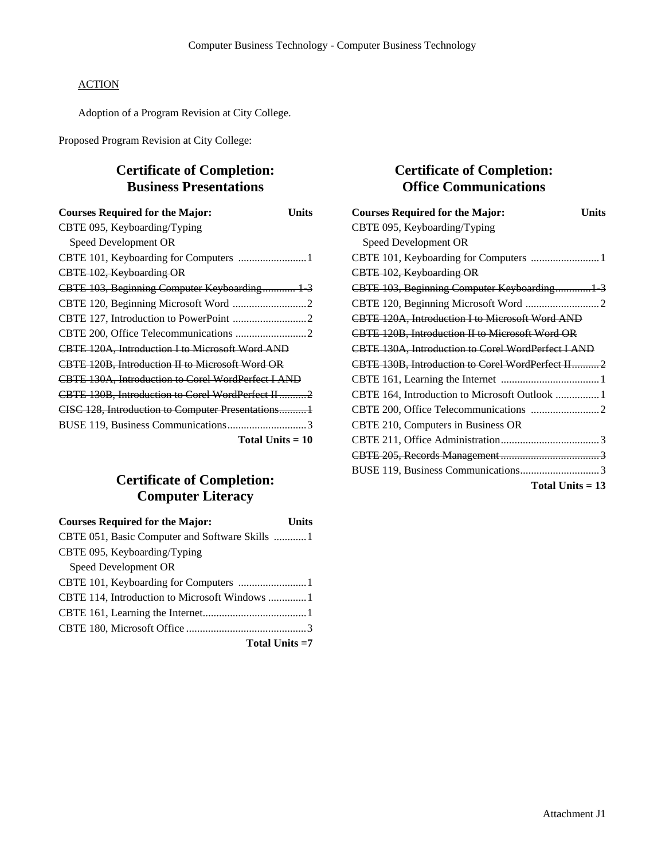Adoption of a Program Revision at City College.

Proposed Program Revision at City College:

# **Certificate of Completion: Business Presentations**

| <b>Courses Required for the Major:</b><br>Units        |
|--------------------------------------------------------|
| CBTE 095, Keyboarding/Typing                           |
| Speed Development OR                                   |
| CBTE 101, Keyboarding for Computers 1                  |
| CBTE 102, Keyboarding OR                               |
| CBTE 103, Beginning Computer Keyboarding 1 3           |
|                                                        |
|                                                        |
|                                                        |
| <b>CBTE 120A, Introduction I to Microsoft Word AND</b> |
| <b>CBTE 120B, Introduction II to Microsoft Word OR</b> |
| CBTE 130A, Introduction to Corel WordPerfect I AND     |
| CBTE 130B, Introduction to Corel WordPerfect H2        |
| CISC 128, Introduction to Computer Presentations 1     |
|                                                        |
| Total Units $=10$                                      |

# **Certificate of Completion: Computer Literacy**

| <b>Courses Required for the Major:</b><br>Units |
|-------------------------------------------------|
| CBTE 051, Basic Computer and Software Skills 1  |
| CBTE 095, Keyboarding/Typing                    |
| Speed Development OR                            |
|                                                 |
| CBTE 114, Introduction to Microsoft Windows 1   |
|                                                 |
|                                                 |
| Total Units =7                                  |

## **Certificate of Completion: Office Communications**

| <b>Courses Required for the Major:</b><br>Units    |
|----------------------------------------------------|
| CBTE 095, Keyboarding/Typing                       |
| Speed Development OR                               |
|                                                    |
| CBTE 102, Keyboarding OR                           |
| CBTE 103, Beginning Computer Keyboarding 1 3       |
|                                                    |
| CBTE 120A, Introduction I to Microsoft Word AND    |
| CBTE 120B, Introduction II to Microsoft Word OR    |
| CBTE 130A, Introduction to Corel WordPerfect I AND |
| CBTE 130B, Introduction to Corel WordPerfect II2   |
|                                                    |
| CBTE 164, Introduction to Microsoft Outlook  1     |
|                                                    |
| CBTE 210, Computers in Business OR                 |
|                                                    |
|                                                    |
|                                                    |
| Total Units $= 13$                                 |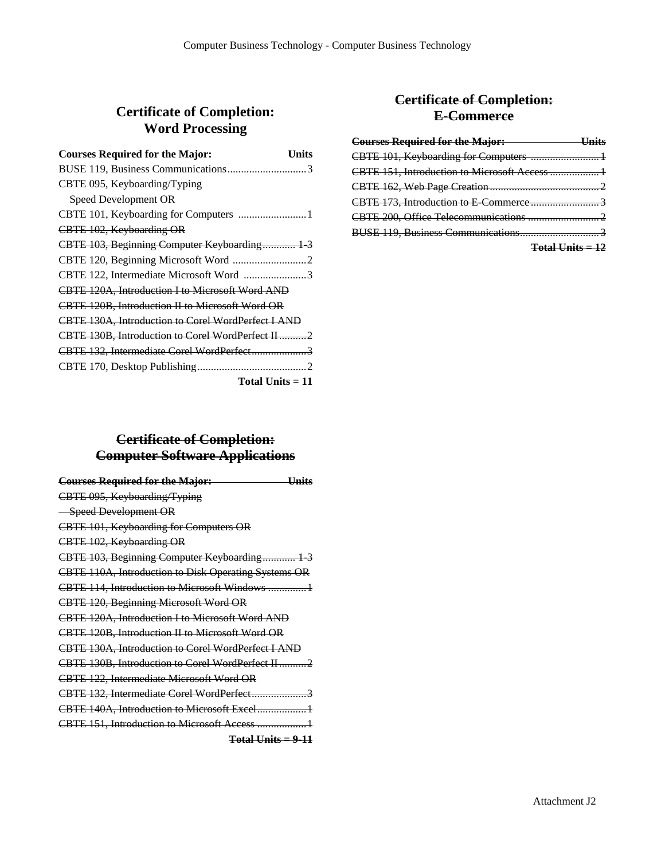# **Certificate of Completion: Word Processing**

| <b>Courses Required for the Major:</b><br>Units        |
|--------------------------------------------------------|
|                                                        |
| CBTE 095, Keyboarding/Typing                           |
| Speed Development OR                                   |
|                                                        |
| CBTE 102, Keyboarding OR                               |
| CBTE 103, Beginning Computer Keyboarding 1 3           |
|                                                        |
| CBTE 122, Intermediate Microsoft Word 3                |
| CBTE 120A, Introduction I to Microsoft Word AND        |
| <b>CBTE 120B, Introduction II to Microsoft Word OR</b> |
| CBTE 130A, Introduction to Corel WordPerfect I AND     |
| CBTE 130B, Introduction to Corel WordPerfect II2       |
| CBTE 132, Intermediate Corel WordPerfect3              |
|                                                        |
| Total Units $=11$                                      |

## **Certificate of Completion: Computer Software Applications**

| <b>Courses Required for the Major:</b><br>Hnits        |
|--------------------------------------------------------|
| CBTE 095, Keyboarding/Typing                           |
| -Speed Development OR                                  |
| CBTE 101, Keyboarding for Computers OR                 |
| CBTE 102, Keyboarding OR                               |
| CBTE 103, Beginning Computer Keyboarding 1-3           |
| CBTE 110A, Introduction to Disk Operating Systems OR   |
| <b>CBTE 114, Introduction to Microsoft Windows</b> 1   |
| CBTE 120, Beginning Microsoft Word OR                  |
| CBTE 120A, Introduction I to Microsoft Word AND        |
| <b>CBTE 120B, Introduction II to Microsoft Word OR</b> |
| CBTE 130A, Introduction to Corel WordPerfect I AND     |
| CBTE 130B. Introduction to Corel WordPerfect II2       |
| CBTE 122, Intermediate Microsoft Word OR               |
| CBTE 132, Intermediate Corel WordPerfect3              |
|                                                        |
| CBTE 151, Introduction to Microsoft Access  1          |
| $Total Units = 9-11$                                   |

## **Certificate of Completion: E-Commerce**

| Courses Required for the Major: University of The Major |  |
|---------------------------------------------------------|--|
|                                                         |  |
| CBTE 151, Introduction to Microsoft Access  1           |  |
|                                                         |  |
|                                                         |  |
|                                                         |  |
|                                                         |  |
| $Total Units = 12$                                      |  |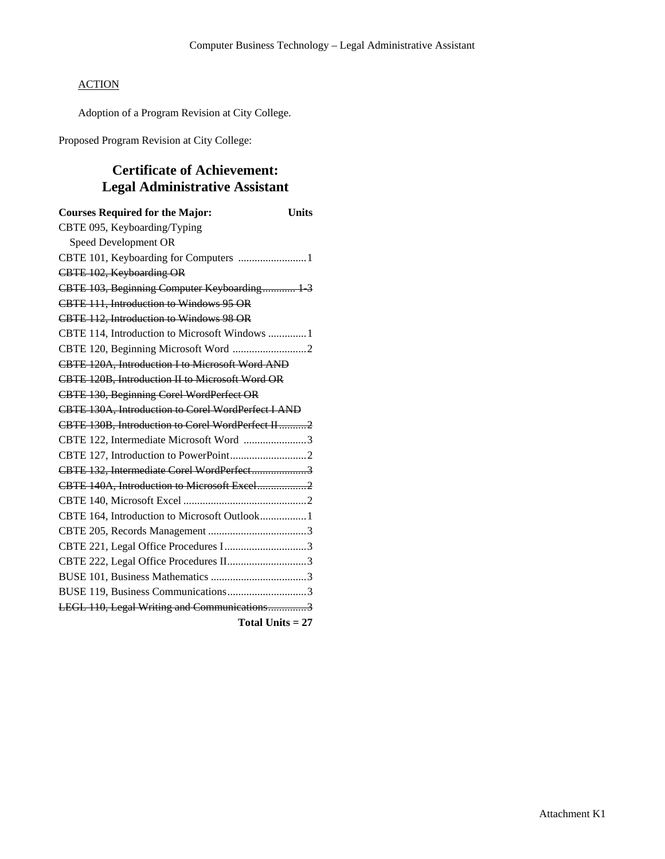Adoption of a Program Revision at City College.

Proposed Program Revision at City College:

# **Certificate of Achievement: Legal Administrative Assistant**

| <b>Courses Required for the Major:</b><br><b>Units</b> |
|--------------------------------------------------------|
| CBTE 095, Keyboarding/Typing                           |
| Speed Development OR                                   |
| CBTE 101, Keyboarding for Computers 1                  |
| CBTE 102, Keyboarding OR                               |
| CBTE 103, Beginning Computer Keyboarding 1-3           |
| CBTE 111, Introduction to Windows 95 OR                |
| CBTE 112, Introduction to Windows 98 OR                |
| CBTE 114, Introduction to Microsoft Windows  1         |
|                                                        |
| CBTE 120A, Introduction I to Microsoft Word AND        |
| CBTE 120B, Introduction II to Microsoft Word OR        |
| CBTE 130, Beginning Corel WordPerfect OR               |
| CBTE 130A, Introduction to Corel WordPerfect I AND     |
| CBTE 130B, Introduction to Corel WordPerfect II2       |
| CBTE 122, Intermediate Microsoft Word 3                |
|                                                        |
| CBTE 132, Intermediate Corel WordPerfect3              |
| CBTE 140A, Introduction to Microsoft Excel2            |
|                                                        |
| CBTE 164, Introduction to Microsoft Outlook 1          |
|                                                        |
| CBTE 221, Legal Office Procedures I3                   |
| CBTE 222, Legal Office Procedures II3                  |
|                                                        |
| BUSE 119, Business Communications3                     |
| LEGL 110, Legal Writing and Communications3            |
| Total Units $= 27$                                     |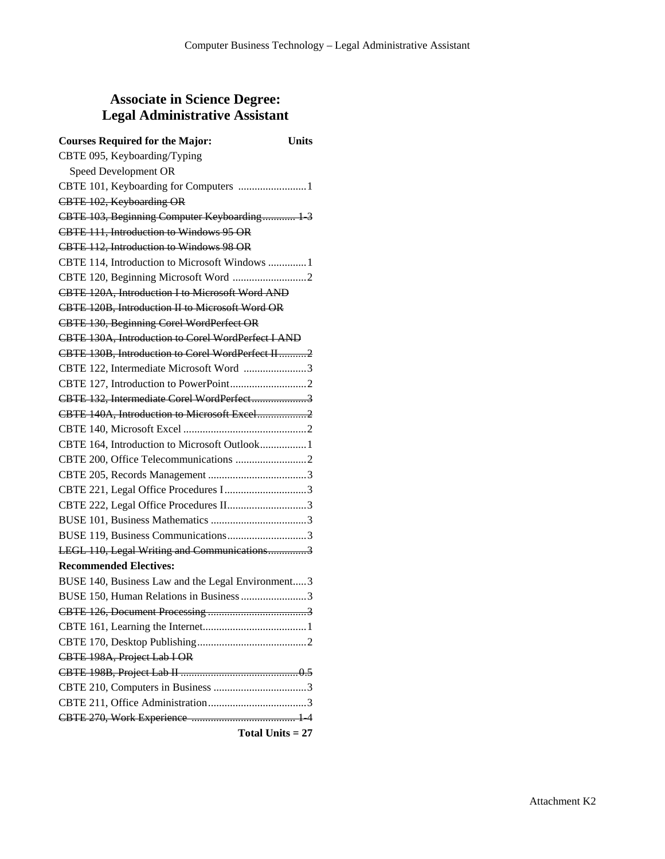## **Associate in Science Degree: Legal Administrative Assistant**

| <b>Courses Required for the Major:</b>             | <b>Units</b>       |
|----------------------------------------------------|--------------------|
| CBTE 095, Keyboarding/Typing                       |                    |
| Speed Development OR                               |                    |
| CBTE 101, Keyboarding for Computers  1             |                    |
| CBTE 102, Keyboarding OR                           |                    |
| CBTE 103, Beginning Computer Keyboarding 1-3       |                    |
| CBTE 111, Introduction to Windows 95 OR            |                    |
| CBTE 112, Introduction to Windows 98 OR            |                    |
| CBTE 114, Introduction to Microsoft Windows  1     |                    |
|                                                    |                    |
| CBTE 120A, Introduction I to Microsoft Word AND    |                    |
| CBTE 120B, Introduction II to Microsoft Word OR    |                    |
| CBTE 130, Beginning Corel WordPerfect OR           |                    |
| CBTE 130A, Introduction to Corel WordPerfect I AND |                    |
| CBTE 130B, Introduction to Corel WordPerfect II2   |                    |
| CBTE 122, Intermediate Microsoft Word 3            |                    |
|                                                    |                    |
| CBTE 132, Intermediate Corel WordPerfect3          |                    |
| CBTE 140A, Introduction to Microsoft Excel2        |                    |
|                                                    |                    |
| CBTE 164, Introduction to Microsoft Outlook 1      |                    |
|                                                    |                    |
|                                                    |                    |
|                                                    |                    |
| CBTE 222, Legal Office Procedures II3              |                    |
|                                                    |                    |
|                                                    |                    |
| LEGL 110, Legal Writing and Communications3        |                    |
| <b>Recommended Electives:</b>                      |                    |
| BUSE 140, Business Law and the Legal Environment3  |                    |
| BUSE 150, Human Relations in Business 3            |                    |
|                                                    |                    |
|                                                    |                    |
|                                                    |                    |
| CBTE 198A, Project Lab I OR                        |                    |
|                                                    |                    |
|                                                    |                    |
|                                                    |                    |
|                                                    |                    |
|                                                    | Total Units $= 27$ |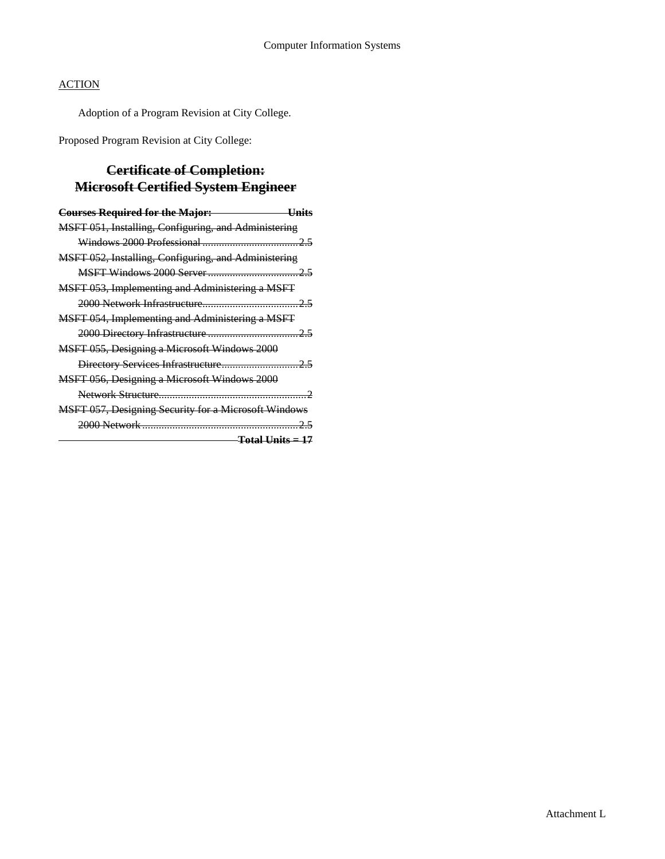Adoption of a Program Revision at City College.

Proposed Program Revision at City College:

# **Certificate of Completion: Microsoft Certified System Engineer**

| <b>Courses Required for the Major:</b>                      |  |
|-------------------------------------------------------------|--|
| MSFT 051, Installing, Configuring, and Administering        |  |
|                                                             |  |
| MSFT 052, Installing, Configuring, and Administering        |  |
|                                                             |  |
| MSFT 053, Implementing and Administering a MSFT             |  |
|                                                             |  |
| MSFT 054, Implementing and Administering a MSFT             |  |
|                                                             |  |
| MSFT 055, Designing a Microsoft Windows 2000                |  |
|                                                             |  |
| MSFT 056, Designing a Microsoft Windows 2000                |  |
|                                                             |  |
| <b>MSFT 057, Designing Security for a Microsoft Windows</b> |  |
|                                                             |  |
| $Total Units = 17$                                          |  |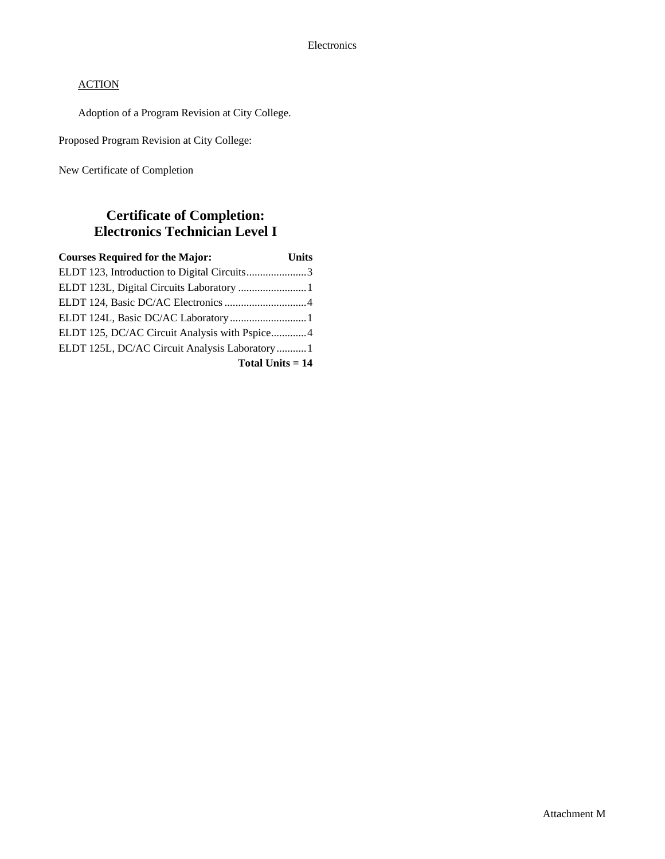Adoption of a Program Revision at City College.

Proposed Program Revision at City College:

New Certificate of Completion

## **Certificate of Completion: Electronics Technician Level I**

| <b>Courses Required for the Major:</b>        | <b>Units</b> |
|-----------------------------------------------|--------------|
| ELDT 123, Introduction to Digital Circuits3   |              |
|                                               |              |
|                                               |              |
|                                               |              |
| ELDT 125, DC/AC Circuit Analysis with Pspice4 |              |
| ELDT 125L, DC/AC Circuit Analysis Laboratory1 |              |
| Total Units $= 14$                            |              |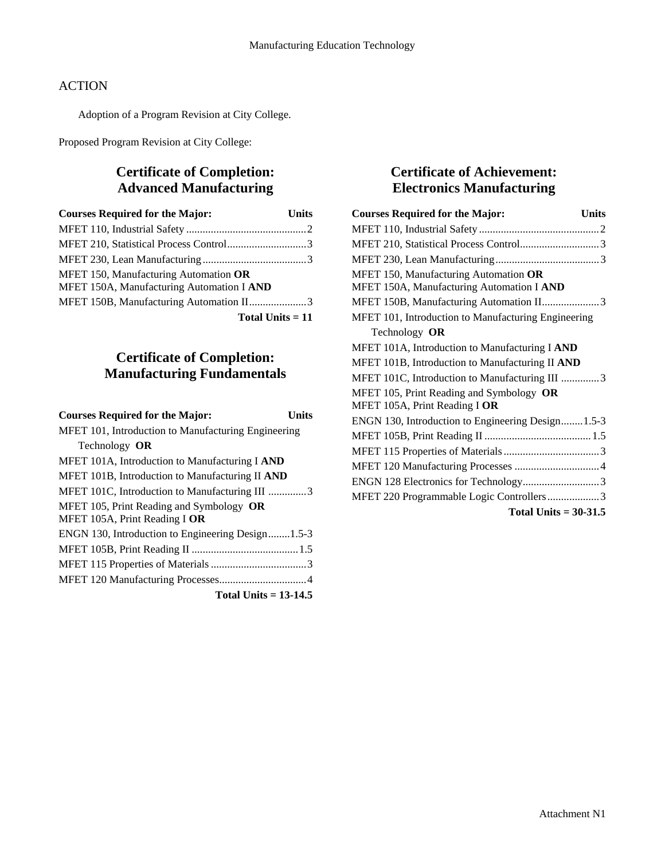Adoption of a Program Revision at City College.

Proposed Program Revision at City College:

# **Certificate of Completion: Advanced Manufacturing**

| <b>Courses Required for the Major:</b>                                             | <b>Units</b> |
|------------------------------------------------------------------------------------|--------------|
|                                                                                    |              |
|                                                                                    |              |
|                                                                                    |              |
| MFET 150, Manufacturing Automation OR<br>MFET 150A, Manufacturing Automation I AND |              |
| MFET 150B, Manufacturing Automation II3                                            |              |
| Total Units $= 11$                                                                 |              |

# **Certificate of Completion: Manufacturing Fundamentals**

| <b>Courses Required for the Major:</b>              | Units |
|-----------------------------------------------------|-------|
| MFET 101, Introduction to Manufacturing Engineering |       |
| Technology OR                                       |       |
| MFET 101A, Introduction to Manufacturing I AND      |       |
| MFET 101B, Introduction to Manufacturing II AND     |       |
| MFET 101C, Introduction to Manufacturing III 3      |       |
| MFET 105, Print Reading and Symbology OR            |       |
| MFET 105A, Print Reading I OR                       |       |
| ENGN 130, Introduction to Engineering Design1.5-3   |       |
|                                                     |       |
|                                                     |       |
|                                                     |       |
| Total Units $= 13-14.5$                             |       |

# **Certificate of Achievement: Electronics Manufacturing**

| <b>Courses Required for the Major:</b><br><b>Units</b>                             |
|------------------------------------------------------------------------------------|
|                                                                                    |
|                                                                                    |
|                                                                                    |
| MFET 150, Manufacturing Automation OR<br>MFET 150A, Manufacturing Automation I AND |
| MFET 150B, Manufacturing Automation II3                                            |
| MFET 101, Introduction to Manufacturing Engineering                                |
| Technology OR                                                                      |
| MFET 101A, Introduction to Manufacturing I AND                                     |
| MFET 101B, Introduction to Manufacturing II AND                                    |
| MFET 101C, Introduction to Manufacturing III 3                                     |
| MFET 105, Print Reading and Symbology OR<br>MFET 105A, Print Reading I OR          |
| ENGN 130, Introduction to Engineering Design1.5-3                                  |
|                                                                                    |
|                                                                                    |
|                                                                                    |
| ENGN 128 Electronics for Technology3                                               |
| MFET 220 Programmable Logic Controllers3                                           |
| Total Units $= 30-31.5$                                                            |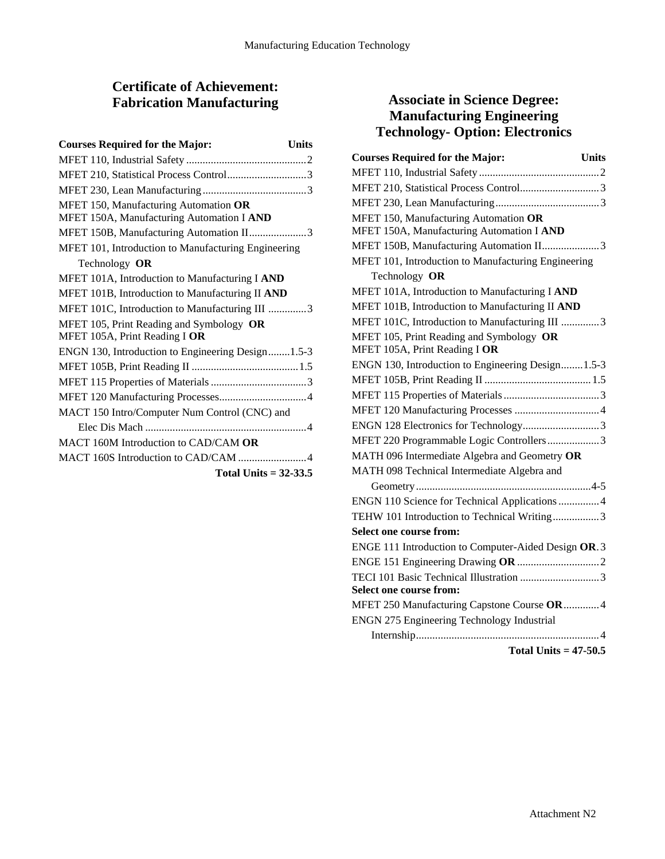# **Certificate of Achievement: Fabrication Manufacturing**

| <b>Courses Required for the Major:</b><br><b>Units</b>                             |  |
|------------------------------------------------------------------------------------|--|
|                                                                                    |  |
| MFET 210, Statistical Process Control3                                             |  |
|                                                                                    |  |
| MFET 150, Manufacturing Automation OR<br>MFET 150A, Manufacturing Automation I AND |  |
| MFET 150B, Manufacturing Automation II3                                            |  |
| MFET 101, Introduction to Manufacturing Engineering                                |  |
| Technology OR                                                                      |  |
| MFET 101A, Introduction to Manufacturing I AND                                     |  |
| MFET 101B, Introduction to Manufacturing II AND                                    |  |
| MFET 101C, Introduction to Manufacturing III 3                                     |  |
| MFET 105, Print Reading and Symbology OR<br>MFET 105A, Print Reading I OR          |  |
| ENGN 130, Introduction to Engineering Design1.5-3                                  |  |
|                                                                                    |  |
|                                                                                    |  |
|                                                                                    |  |
| MACT 150 Intro/Computer Num Control (CNC) and                                      |  |
|                                                                                    |  |
| MACT 160M Introduction to CAD/CAM OR                                               |  |
| MACT 160S Introduction to CAD/CAM 4                                                |  |
| Total Units $= 32-33.5$                                                            |  |

# **Associate in Science Degree: Manufacturing Engineering Technology- Option: Electronics**

| <b>Courses Required for the Major:</b><br><b>Units</b>                             |
|------------------------------------------------------------------------------------|
|                                                                                    |
|                                                                                    |
|                                                                                    |
| MFET 150, Manufacturing Automation OR<br>MFET 150A, Manufacturing Automation I AND |
| MFET 150B, Manufacturing Automation II3                                            |
| MFET 101, Introduction to Manufacturing Engineering                                |
| Technology OR                                                                      |
| MFET 101A, Introduction to Manufacturing I AND                                     |
| MFET 101B, Introduction to Manufacturing II AND                                    |
| MFET 101C, Introduction to Manufacturing III 3                                     |
| MFET 105, Print Reading and Symbology OR<br>MFET 105A, Print Reading I OR          |
| ENGN 130, Introduction to Engineering Design1.5-3                                  |
|                                                                                    |
|                                                                                    |
|                                                                                    |
| ENGN 128 Electronics for Technology3                                               |
| MFET 220 Programmable Logic Controllers3                                           |
| MATH 096 Intermediate Algebra and Geometry OR                                      |
| MATH 098 Technical Intermediate Algebra and                                        |
|                                                                                    |
| ENGN 110 Science for Technical Applications  4                                     |
| TEHW 101 Introduction to Technical Writing3                                        |
| Select one course from:                                                            |
| ENGE 111 Introduction to Computer-Aided Design OR.3                                |
|                                                                                    |
|                                                                                    |
| <b>Select one course from:</b>                                                     |
| MFET 250 Manufacturing Capstone Course OR4                                         |
| ENGN 275 Engineering Technology Industrial                                         |
|                                                                                    |

**Total Units = 47-50.5**